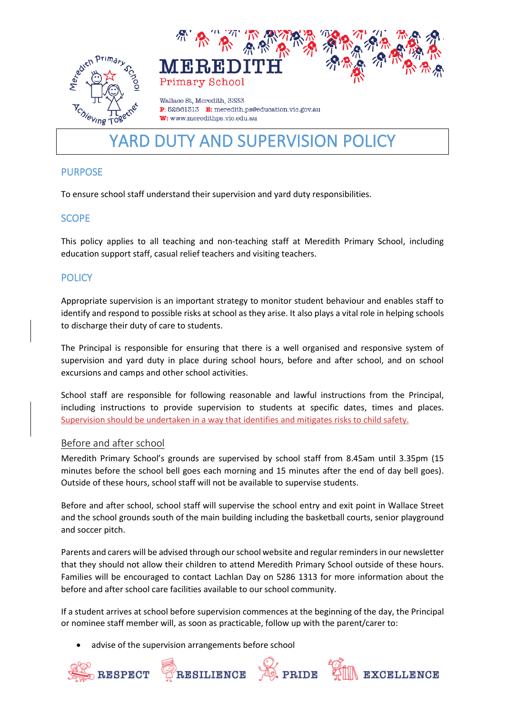



Wallace St. Meredith, 3333 P: 52861313 E: meredith.ps@education.vic.gov.au W: www.meredithps.vic.edu.au

# YARD DUTY AND SUPERVISION POLICY

# PURPOSE

To ensure school staff understand their supervision and yard duty responsibilities.

## **SCOPE**

This policy applies to all teaching and non-teaching staff at Meredith Primary School, including education support staff, casual relief teachers and visiting teachers.

# **POLICY**

Appropriate supervision is an important strategy to monitor student behaviour and enables staff to identify and respond to possible risks at school as they arise. It also plays a vital role in helping schools to discharge their duty of care to students.

The Principal is responsible for ensuring that there is a well organised and responsive system of supervision and yard duty in place during school hours, before and after school, and on school excursions and camps and other school activities.

School staff are responsible for following reasonable and lawful instructions from the Principal, including instructions to provide supervision to students at specific dates, times and places. Supervision should be undertaken in a way that identifies and mitigates risks to child safety.

## Before and after school

Meredith Primary School's grounds are supervised by school staff from 8.45am until 3.35pm (15 minutes before the school bell goes each morning and 15 minutes after the end of day bell goes). Outside of these hours, school staff will not be available to supervise students.

Before and after school, school staff will supervise the school entry and exit point in Wallace Street and the school grounds south of the main building including the basketball courts, senior playground and soccer pitch.

Parents and carers will be advised through our school website and regular reminders in our newsletter that they should not allow their children to attend Meredith Primary School outside of these hours. Families will be encouraged to contact Lachlan Day on 5286 1313 for more information about the before and after school care facilities available to our school community.

If a student arrives at school before supervision commences at the beginning of the day, the Principal or nominee staff member will, as soon as practicable, follow up with the parent/carer to:

advise of the supervision arrangements before school

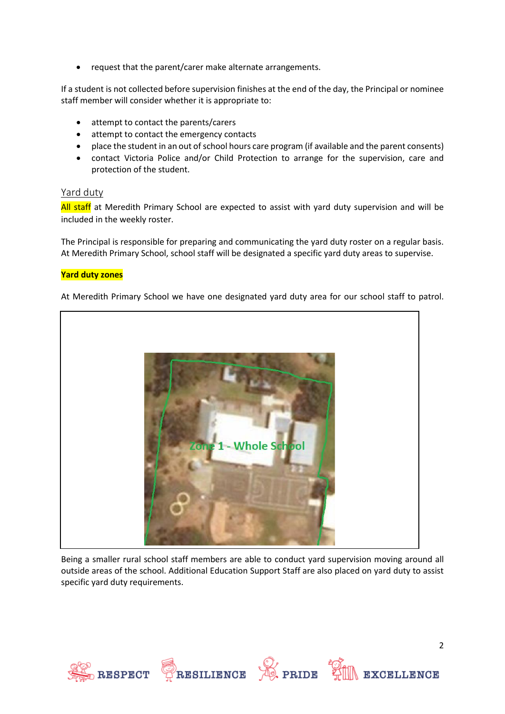• request that the parent/carer make alternate arrangements.

If a student is not collected before supervision finishes at the end of the day, the Principal or nominee staff member will consider whether it is appropriate to:

- attempt to contact the parents/carers
- attempt to contact the emergency contacts
- place the student in an out of school hours care program (if available and the parent consents)
- contact Victoria Police and/or Child Protection to arrange for the supervision, care and protection of the student.

#### Yard duty

All staff at Meredith Primary School are expected to assist with yard duty supervision and will be included in the weekly roster.

The Principal is responsible for preparing and communicating the yard duty roster on a regular basis. At Meredith Primary School, school staff will be designated a specific yard duty areas to supervise.

#### **Yard duty zones**

At Meredith Primary School we have one designated yard duty area for our school staff to patrol.



Being a smaller rural school staff members are able to conduct yard supervision moving around all outside areas of the school. Additional Education Support Staff are also placed on yard duty to assist specific yard duty requirements.

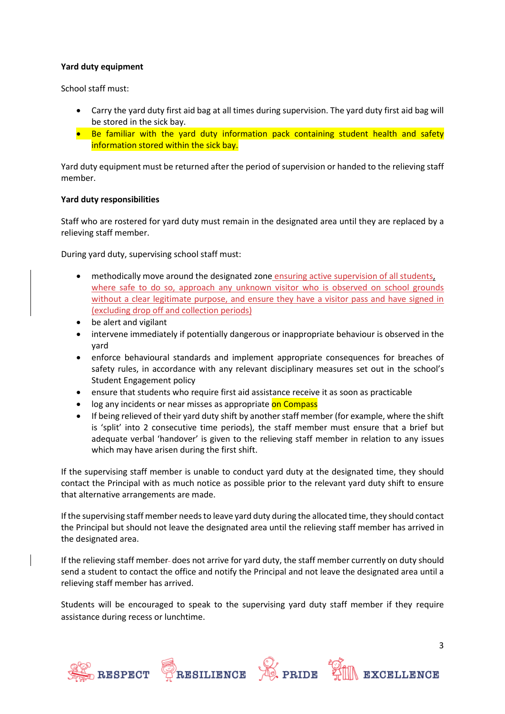#### **Yard duty equipment**

School staff must:

- Carry the yard duty first aid bag at all times during supervision. The yard duty first aid bag will be stored in the sick bay.
- Be familiar with the yard duty information pack containing student health and safety information stored within the sick bay.

Yard duty equipment must be returned after the period of supervision or handed to the relieving staff member.

#### **Yard duty responsibilities**

Staff who are rostered for yard duty must remain in the designated area until they are replaced by a relieving staff member.

During yard duty, supervising school staff must:

- methodically move around the designated zone ensuring active supervision of all students, where safe to do so, approach any unknown visitor who is observed on school grounds without a clear legitimate purpose, and ensure they have a visitor pass and have signed in (excluding drop off and collection periods)
- be alert and vigilant
- intervene immediately if potentially dangerous or inappropriate behaviour is observed in the yard
- enforce behavioural standards and implement appropriate consequences for breaches of safety rules, in accordance with any relevant disciplinary measures set out in the school's Student Engagement policy
- ensure that students who require first aid assistance receive it as soon as practicable
- log any incidents or near misses as appropriate on Compass
- If being relieved of their yard duty shift by another staff member (for example, where the shift is 'split' into 2 consecutive time periods), the staff member must ensure that a brief but adequate verbal 'handover' is given to the relieving staff member in relation to any issues which may have arisen during the first shift.

If the supervising staff member is unable to conduct yard duty at the designated time, they should contact the Principal with as much notice as possible prior to the relevant yard duty shift to ensure that alternative arrangements are made.

If the supervising staff member needs to leave yard duty during the allocated time, they should contact the Principal but should not leave the designated area until the relieving staff member has arrived in the designated area.

If the relieving staff member-does not arrive for yard duty, the staff member currently on duty should send a student to contact the office and notify the Principal and not leave the designated area until a relieving staff member has arrived.

Students will be encouraged to speak to the supervising yard duty staff member if they require assistance during recess or lunchtime.







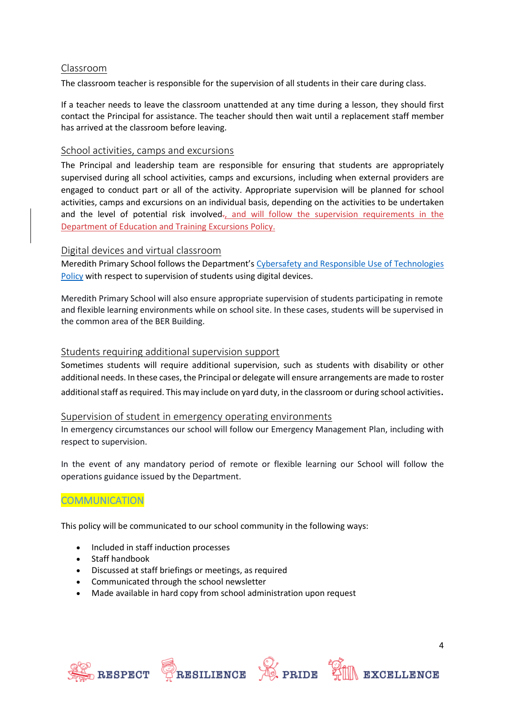#### Classroom

The classroom teacher is responsible for the supervision of all students in their care during class.

If a teacher needs to leave the classroom unattended at any time during a lesson, they should first contact the Principal for assistance. The teacher should then wait until a replacement staff member has arrived at the classroom before leaving.

#### School activities, camps and excursions

The Principal and leadership team are responsible for ensuring that students are appropriately supervised during all school activities, camps and excursions, including when external providers are engaged to conduct part or all of the activity. Appropriate supervision will be planned for school activities, camps and excursions on an individual basis, depending on the activities to be undertaken and the level of potential risk involved-, and will follow the supervision requirements in the Department of Education and Training [Excursions Policy.](https://www2.education.vic.gov.au/pal/excursions/policy)

#### Digital devices and virtual classroom

Meredith Primary School follows the Department's [Cybersafety and Responsible Use of Technologies](https://www2.education.vic.gov.au/pal/cybersafety/policy)  [Policy](https://www2.education.vic.gov.au/pal/cybersafety/policy) with respect to supervision of students using digital devices.

Meredith Primary School will also ensure appropriate supervision of students participating in remote and flexible learning environments while on school site. In these cases, students will be supervised in the common area of the BER Building.

#### Students requiring additional supervision support

Sometimes students will require additional supervision, such as students with disability or other additional needs. In these cases, the Principal or delegate will ensure arrangements are made to roster additional staff as required. This may include on yard duty, in the classroom or during school activities.

#### Supervision of student in emergency operating environments

In emergency circumstances our school will follow our Emergency Management Plan, including with respect to supervision.

In the event of any mandatory period of remote or flexible learning our School will follow the operations guidance issued by the Department.

## **COMMUNICATION**

This policy will be communicated to our school community in the following ways:

- Included in staff induction processes
- Staff handbook
- Discussed at staff briefings or meetings, as required
- Communicated through the school newsletter
- Made available in hard copy from school administration upon request